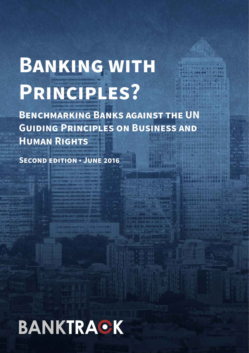# **Banking with Principles?**

**Benchmarking Banks against the UN Guiding Principles on Business and Human Rights**

VITECTI

**Second edition** • **June 2016**

# BANKTRACK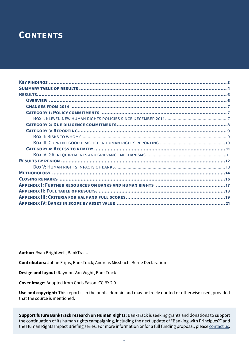## **CONTENTS**

**Author:** Ryan Brightwell, BankTrack

**Contributors:** Johan Frijns, BankTrack; Andreas Missbach, Berne Declaration

**Design and layout:** Raymon Van Vught, BankTrack

**Cover Image:** Adapted from Chris Eason, CC BY 2.0

**Use and copyright:** This report is in the public domain and may be freely quoted or otherwise used, provided that the source is mentioned.

**Support future BankTrack research on Human Rights:** BankTrack is seeking grants and donations to support the continuation of its human rights campaigning, including the next update of "Banking with Principles?" and the Human Rights Impact Briefing series. For more information or for a full funding proposal, please [contact us.](mailto:contact@banktrack.org)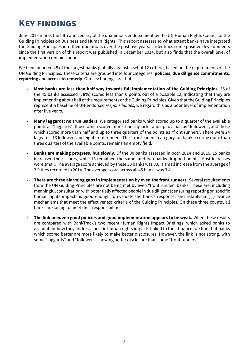## <span id="page-2-0"></span>**Key findings**

June 2016 marks the fifth anniversary of the unanimous endorsement by the UN Human Rights Council of the Guiding Principles on Business and Human Rights. This report assesses to what extent banks have integrated the Guiding Principles into their operations over the past five years. It identifies some positive developments since the first version of this report was published in December 2014, but also finds that the overall level of implementation remains poor.

We benchmarked 45 of the largest banks globally against a set of 12 criteria, based on the requirements of the UN Guiding Principles. These criteria are grouped into four categories: **policies**, **due diligence commitments**, **reporting** and **access to remedy**. Our key findings are that:

- **Most banks are less than half way towards full implementation of the Guiding Principles.** 35 of the 45 banks assessed (78%) scored less than 6 points out of a possible 12, indicating that they are implementing about half of the requirements of the Guiding Principles. Given that the Guiding Principles represent a baseline of UN-endorsed *responsibilities*, we regard this as a poor level of implementation after five years.
- **Many laggards; no true leaders.** We categorised banks which scored up to a quarter of the available points as "laggards"; those which scored more than a quarter and up to a half as "followers", and those which scored more than half and up to three quarters of the points as "front runners". There were 24 laggards, 13 followers and eight front runners. The "true leaders" category, for banks scoring more than three quarters of the available points, remains an empty field.
- **Banks are making progress, but slowly.** Of the 30 banks assessed in both 2014 and 2016, 15 banks increased their scores, while 13 remained the same, and two banks dropped points. Most increases were small. The average score achieved by these 30 banks was 3.6, a small increase from the average of 2.9 they recorded in 2014. The average score across all 45 banks was 3.4.
- **There are three alarming gaps in implementation by even the front runners.** Several requirements from the UN Guiding Principles are not being met by even "front runner" banks. These are: including meaningful consultation with potentially affected people in due diligence; ensuring reporting on specific human rights impacts is good enough to evaluate the bank's response; and establishing grievance mechanisms that meet the effectiveness criteria of the Guiding Principles. On these three counts, all banks are failing to meet their responsibilities.
- **The link between good policies and good implementation appears to be weak.** When these results are compared with BankTrack's two recent Human Rights Impact Briefings, which asked banks to account for how they address specific human rights impacts linked to their finance, we find that banks which scored better are more likely to make better disclosures. However, the link is not strong, with some "laggards" and "followers" showing better disclosure than some "front runners".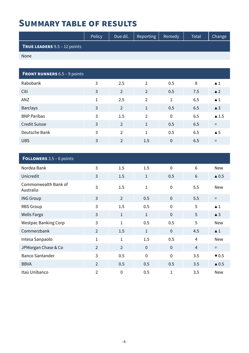## <span id="page-3-0"></span>**Summary table of results**

|                                       | Policy | Due dil. | Reporting | Remedy | Total | Change <sup>1</sup> |
|---------------------------------------|--------|----------|-----------|--------|-------|---------------------|
| <b>TRUE LEADERS</b> $9.5 - 12$ points |        |          |           |        |       |                     |
| None                                  |        |          |           |        |       |                     |

| <b>FRONT RUNNERS</b> 6.5 - 9 points |   |                |                |              |     |                      |
|-------------------------------------|---|----------------|----------------|--------------|-----|----------------------|
| Rabobank                            | 3 | 2.5            | $\mathcal{P}$  | 0.5          | 8   | $\blacktriangle$ 1   |
| Citi                                | 3 | $\overline{2}$ | 2              | 0.5          | 7.5 | $\triangle$ 2        |
| ANZ                                 | 1 | 2.5            | $\overline{2}$ | $\mathbf{1}$ | 6.5 | $\blacktriangle$ 1   |
| <b>Barclays</b>                     | 3 | $\overline{2}$ | $\mathbf{1}$   | 0.5          | 6.5 | $\triangle$ 3        |
| <b>BNP Paribas</b>                  | 3 | 1.5            | $\mathcal{P}$  | $\mathbf 0$  | 6.5 | $\blacktriangle$ 1.5 |
| <b>Credit Suisse</b>                | 3 | 2              | $\mathbf{1}$   | 0.5          | 6.5 | $=$                  |
| Deutsche Bank                       | 3 | $\overline{2}$ | $\mathbf{1}$   | 0.5          | 6.5 | $\triangle$ 5        |
| <b>UBS</b>                          | 3 | $\overline{2}$ | 1.5            | $\mathbf 0$  | 6.5 |                      |

| <b>FOLLOWERS</b> $3.5 - 6$ points |                |                |              |                |                |                          |
|-----------------------------------|----------------|----------------|--------------|----------------|----------------|--------------------------|
| Nordea Bank                       | 3              | 1.5            | 1.5          | $\mathbf 0$    | 6              | New                      |
| Unicredit                         | 3              | 1.5            | $\mathbf{1}$ | 0.5            | $6\phantom{1}$ | $\triangle$ 0.5          |
| Commonwealth Bank of<br>Australia | 3              | 1.5            | $\mathbf{1}$ | $\mathbf 0$    | 5.5            | <b>New</b>               |
| <b>ING Group</b>                  | $\overline{3}$ | $\overline{2}$ | 0.5          | $\overline{0}$ | 5.5            | $=$                      |
| <b>RBS Group</b>                  | 3              | 1.5            | 0.5          | $\mathbf 0$    | 5              | $\blacktriangle$ 1       |
| <b>Wells Fargo</b>                | 3              | $\mathbf{1}$   | $\mathbf{1}$ | $\mathbf{0}$   | 5              | $\triangle$ 3            |
| <b>Westpac Banking Corp</b>       | 3              | $\mathbf{1}$   | 0.5          | 0.5            | 5              | <b>New</b>               |
| Commerzbank                       | 2              | 1.5            | $\mathbf{1}$ | $\mathbf{0}$   | 4.5            | $\blacktriangle$ 1       |
| Intesa Sanpaolo                   | $\mathbf{1}$   | $\mathbf{1}$   | 1.5          | 0.5            | $\overline{4}$ | <b>New</b>               |
| JPMorgan Chase & Co               | $\overline{2}$ | $\overline{2}$ | $\mathbf 0$  | $\mathbf 0$    | $\overline{4}$ | $=$                      |
| <b>Banco Santander</b>            | 3              | 0.5            | $\mathbf 0$  | $\mathbf 0$    | 3.5            | $\blacktriangledown 0.5$ |
| <b>BBVA</b>                       | $\overline{2}$ | 0.5            | 0.5          | 0.5            | 3.5            | $\triangle$ 0.5          |
| Itaú Unibanco                     | $\overline{2}$ | $\mathbf 0$    | 0.5          | $\mathbf{1}$   | 3.5            | <b>New</b>               |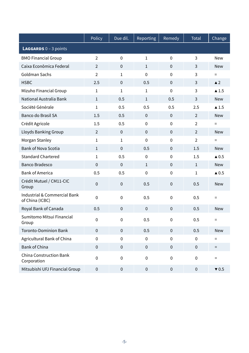|                                                 | Policy           | Due dil.         | Reporting      | Remedy      | Total          | Change                   |
|-------------------------------------------------|------------------|------------------|----------------|-------------|----------------|--------------------------|
| <b>LAGGARDS</b> $0 - 3$ points                  |                  |                  |                |             |                |                          |
| <b>BMO Financial Group</b>                      | $\overline{2}$   | $\mathbf 0$      | $\mathbf 1$    | $\mathbf 0$ | 3              | <b>New</b>               |
| Caixa Econômica Federal                         | $\overline{2}$   | $\mathbf 0$      | $\mathbf{1}$   | $\mathbf 0$ | 3              | <b>New</b>               |
| Goldman Sachs                                   | $\overline{2}$   | $\mathbf{1}$     | $\mathbf 0$    | $\mathbf 0$ | 3              | $=$                      |
| <b>HSBC</b>                                     | 2.5              | $\pmb{0}$        | 0.5            | $\mathbf 0$ | 3              | $\triangle$ 2            |
| Mizuho Financial Group                          | $\mathbf{1}$     | 1                | $\mathbf{1}$   | $\mathbf 0$ | 3              | $\blacktriangle$ 1.5     |
| National Australia Bank                         | $\mathbf{1}$     | 0.5              | $\mathbf{1}$   | 0.5         | 3              | <b>New</b>               |
| Société Générale                                | $\mathbf 1$      | 0.5              | 0.5            | 0.5         | 2.5            | $\blacktriangle$ 1.5     |
| Banco do Brasil SA                              | 1.5              | 0.5              | $\mathbf 0$    | $\mathbf 0$ | $\overline{2}$ | <b>New</b>               |
| Crédit Agricole                                 | 1.5              | 0.5              | $\mathbf 0$    | $\mathbf 0$ | $\overline{2}$ | $\equiv$                 |
| Lloyds Banking Group                            | $\overline{2}$   | $\pmb{0}$        | $\mathbf 0$    | $\mathbf 0$ | $\overline{2}$ | <b>New</b>               |
| Morgan Stanley                                  | $\mathbf 1$      | $\mathbf{1}$     | $\overline{0}$ | $\mathbf 0$ | $\overline{2}$ | $\equiv$                 |
| <b>Bank of Nova Scotia</b>                      | $\mathbf{1}$     | $\mathbf 0$      | 0.5            | $\mathbf 0$ | 1.5            | <b>New</b>               |
| <b>Standard Chartered</b>                       | 1                | 0.5              | $\mathbf 0$    | $\mathbf 0$ | 1.5            | $\triangle$ 0.5          |
| <b>Banco Bradesco</b>                           | $\mathbf 0$      | $\mathbf 0$      | $\mathbf{1}$   | $\mathbf 0$ | $\mathbf{1}$   | <b>New</b>               |
| <b>Bank of America</b>                          | 0.5              | 0.5              | $\mathbf 0$    | $\pmb{0}$   | 1              | $\triangle$ 0.5          |
| Crédit Mutuel / CM11-CIC<br>Group               | $\mathbf 0$      | $\pmb{0}$        | 0.5            | $\mathbf 0$ | 0.5            | <b>New</b>               |
| Industrial & Commercial Bank<br>of China (ICBC) | $\mathbf 0$      | $\boldsymbol{0}$ | 0.5            | $\mathbf 0$ | 0.5            | $\equiv$                 |
| Royal Bank of Canada                            | 0.5              | $\pmb{0}$        | $\mathbf 0$    | $\mathbf 0$ | 0.5            | <b>New</b>               |
| Sumitomo Mitsui Financial<br>Group              | 0                | 0                | 0.5            | 0           | 0.5            | Ξ                        |
| <b>Toronto-Dominion Bank</b>                    | $\mathbf 0$      | $\boldsymbol{0}$ | 0.5            | $\pmb{0}$   | 0.5            | <b>New</b>               |
| Agricultural Bank of China                      | $\mathbf 0$      | $\boldsymbol{0}$ | $\mathbf 0$    | $\mathbf 0$ | $\mathbf 0$    | $=$                      |
| <b>Bank of China</b>                            | $\pmb{0}$        | $\pmb{0}$        | $\pmb{0}$      | $\mathbf 0$ | $\overline{0}$ | $=$                      |
| <b>China Construction Bank</b><br>Corporation   | $\pmb{0}$        | $\pmb{0}$        | $\mathbf 0$    | $\pmb{0}$   | 0              | $\equiv$                 |
| Mitsubishi UFJ Financial Group                  | $\boldsymbol{0}$ | $\pmb{0}$        | $\pmb{0}$      | $\pmb{0}$   | $\pmb{0}$      | $\blacktriangledown 0.5$ |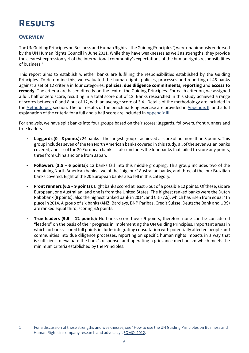## <span id="page-5-0"></span>**Results**

#### **Overview**

The UN Guiding Principles on Business and Human Rights ("the Guiding Principles") were unanimously endorsed by the UN Human Rights Council in June 2011. While they have weaknesses as well as strengths, they provide the clearest expression yet of the international community's expectations of the human rights responsibilities of business $<sup>1</sup>$ </sup>

This report aims to establish whether banks are fulfilling the responsibilities established by the Guiding Principles. To determine this, we evaluated the human rights policies, processes and reporting of 45 banks against a set of 12 criteria in four categories: **policies**, **due diligence commitments**, **reporting** and **access to remedy**. The criteria are based directly on the text of the Guiding Principles. For each criterion, we assigned a full, half or zero score, resulting in a total score out of 12. Banks researched in this study achieved a range of scores between 0 and 8 out of 12, with an average score of 3.4. Details of the methodology are included in the Methodology section. The full results of the benchmarking exercise are provided in Appendix II, and a full explanation of the criteria for a full and a half score are included in Appendix III.

For analysis, we have split banks into four groups based on their scores: laggards, followers, front runners and true leaders.

- **Laggards (0 3 points):** 24 banks the largest group achieved a score of no more than 3 points. This group includes seven of the ten North American banks covered in this study, all of the seven Asian banks covered, and six of the 20 European banks. It also includes the four banks that failed to score any points, three from China and one from Japan.
- **Followers (3.5 6 points):** 13 banks fall into this middle grouping. This group includes two of the remaining North American banks, two of the "big four" Australian banks, and three of the four Brazilian banks covered. Eight of the 20 European banks also fell in this category.
- **Front runners (6.5 9 points)**: Eight banks scored at least 6 out of a possible 12 points. Of these, six are European, one Australian, and one is from the United States. The highest ranked banks were the Dutch Rabobank (8 points), also the highest ranked bank in 2014, and Citi (7.5), which has risen from equal 4th place in 2014. A group of six banks (ANZ, Barclays, BNP Paribas, Credit Suisse, Deutsche Bank and UBS) are ranked equal third, scoring 6.5 points.
- **True leaders (9.5 12 points):** No banks scored over 9 points, therefore none can be considered "leaders" on the basis of their progress in implementing the UN Guiding Principles. Important areas in which no banks scored full points include: integrating consultation with potentially affected people and communities into due diligence processes, reporting on specific human rights impacts in a way that is sufficient to evaluate the bank's response, and operating a grievance mechanism which meets the minimum criteria established by the Principles.

<sup>1</sup> For a discussion of these strengths and weaknesses, see "How to use the UN Guiding Principles on Business and Human Rights in company research and advocacy", [SOMO, 2012](http://www.somo.nl/publications-en/Publication_3899).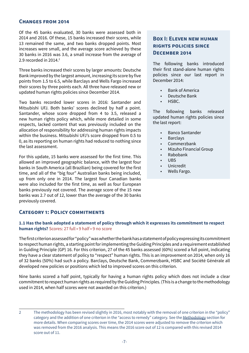#### <span id="page-6-0"></span>**Changes from 2014**

Of the 45 banks evaluated, 30 banks were assessed both in 2014 and 2016. Of these, 15 banks increased their scores, while 13 remained the same, and two banks dropped points. Most increases were small, and the average score achieved by these 30 banks in 2016 was 3.6, a small increase from the average of 2.9 recorded in 2014. $2$ 

Three banks increased their scores by larger amounts: Deutsche Bank improved by the largest amount, increasing its score by five points from 1.5 to 6.5, while Barclays and Wells Fargo increased their scores by three points each. All three have released new or updated human rights policies since December 2014.

Two banks recorded lower scores in 2016: Santander and Mitsubishi UFJ. Both banks' scores declined by half a point. Santander, whose score dropped from 4 to 3.5, released a new human rights policy which, while more detailed in some respects, lacked content that was previously included on the allocation of responsibility for addressing human rights impacts within the business. Mitsubishi UFJ's score dropped from 0.5 to 0, as its reporting on human rights had reduced to nothing since the last assessment.

For this update, 15 banks were assessed for the first time. This allowed an improved geographic balance, with the largest four banks in South America (all Brazilian) being covered for the first time, and all of the "big four" Australian banks being included, up from only one in 2014. The largest four Canadian banks were also included for the first time, as well as four European banks previously not covered. The average score of the 15 new banks was 2.7 out of 12, lower than the average of the 30 banks previously covered.

#### **Category 1: Policy commitments**

#### **Box I: Eleven new human rights policies since December 2014**

The following banks introduced their first stand-alone human rights policies since our last report in December 2014:

- Bank of America
- Deutsche Bank
- HSBC.

The following banks released updated human rights policies since the last report:

- Banco Santander
- **Barclays**
- Commerzbank
- Mizuho Financial Group
- Rabobank
- UBS
- Unicredit
- Wells Fargo.

#### **1.1 Has the bank adopted a statement of policy through which it expresses its commitment to respect human rights?** Scores: 27 full • 9 half • 9 no score

The first criterion assessed for "policy" was whether the bank has a statement of policy expressing its commitment to respect human rights, a starting point for implementing the Guiding Principles and a requirement established in Guiding Principle (GP) 16. For this criterion, 27 of the 45 banks assessed (60%) scored a full point, indicating they have a clear statement of policy to "respect" human rights. This is an improvement on 2014, when only 16 of 32 banks (50%) had such a policy. Barclays, Deutsche Bank, Commerzbank, HSBC and Société Générale all developed new policies or positions which led to improved scores on this criterion.

Nine banks scored a half point, typically for having a human rights policy which does not include a clear commitment to respect human rights as required by the Guiding Principles. (This is a change to the methodology used in 2014, when half scores were not awarded on this criterion.)

<sup>2</sup> The methodology has been revised slightly in 2016, most notably with the removal of one criterion in the "policy" category and the addition of one criterion in the "access to remedy" category. See the [Methodology](#page-13-1) section for more details. When comparing scores over time, the 2014 scores were adjusted to remove the criterion which was removed from the 2016 analysis. This means the 2016 score out of 12 is compared with this revised 2014 score out of 11.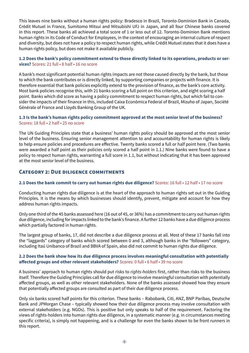<span id="page-7-0"></span>This leaves nine banks without a human rights policy: Bradesco in Brazil, Toronto-Dominion Bank in Canada, Crédit Mutuel in France, Sumitomo Mitsui and Mitsubishi UFJ in Japan, and all four Chinese banks covered in this report. These banks all achieved a total score of 1 or less out of 12. Toronto-Dominion Bank mentions human rights in its Code of Conduct for Employees, in the context of encouraging an internal culture of respect and diversity, but does not have a policy to respect human rights, while Crédit Mutuel states that it does have a human rights policy, but does not make it available publicly.

#### **1.2 Does the bank's policy commitment extend to those directly linked to its operations, products or services?** Scores: 21 full • 8 half • 16 no score

A bank's most significant potential human rights impacts are not those caused directly by the bank, but those to which the bank contributes or is directly linked, by supporting companies or projects with finance. It is therefore essential that bank policies explicitly extend to the provision of finance, as the bank's core activity. Most bank policies recognise this, with 21 banks scoring a full point on this criterion, and eight scoring a half point. Banks which did score as having a policy commitment to respect human rights, but which fail to consider the impacts of their finance in this, included Caixa Econômica Federal of Brazil, Mizuho of Japan, Société Générale of France and Lloyds Banking Group of the UK.

#### **1.3 Is the bank's human rights policy commitment approved at the most senior level of the business?**  Scores: 18 full • 2 half • 25 no score

The UN Guiding Principles state that a business' human rights policy should be approved at the most senior level of the business. Ensuring senior management attention to and accountability for human rights is likely to help ensure policies and procedures are effective. Twenty banks scored a full or half point here. (Two banks were awarded a half point as their policies only scored a half point in 1.1.) Nine banks were found to have a policy to respect human rights, warranting a full score in 1.1, but without indicating that it has been approved at the most senior level of the business.

#### **Category 2: Due diligence commitments**

#### **2.1 Does the bank commit to carry out human rights due diligence?** Scores: 16 full • 12 half • 17 no score

Conducting human rights due diligence is at the heart of the approach to human rights set out in the Guiding Principles. It is the means by which businesses should identify, prevent, mitigate and account for how they address human rights impacts.

Only one third of the 45 banks assessed here (16 out of 45, or 36%) has a commitment to carry out human rights due diligence, including for impacts linked to the bank's finance. A further 12 banks have a due diligence process which partially factored in human rights.

The largest group of banks, 17, did not describe a due diligence process at all. Most of these 17 banks fall into the "laggards" category of banks which scored between 0 and 3, although banks in the "followers" category, including Itaú Unibanco of Brazil and BBVA of Spain, also did not commit to human rights due diligence.

#### **2.2 Does the bank show how its due diligence process involves meaningful consultation with potentially affected groups and other relevant stakeholders?** Scores: 0 full • 6 half • 39 no score

A business' approach to human rights should put risks to *rights-holders* first, rather than risks to the business itself. Therefore the Guiding Principles call for due diligence to involve meaningful consultation with potentially affected groups, as well as other relevant stakeholders. None of the banks assessed showed how they ensure that potentially affected groups are consulted as part of their due diligence process.

Only six banks scored half points for this criterion. These banks – Rabobank, Citi, ANZ, BNP Paribas, Deutsche Bank and JPMorgan Chase – typically showed how their due diligence process may involve consultation with external stakeholders (e.g. NGOs). This is positive but only speaks to half of the requirement. Factoring the views of rights-holders into human rights due diligence, in a systematic manner (e.g. in circumstances meeting specific criteria), is simply not happening, and is a challenge for even the banks shown to be front runners in this report.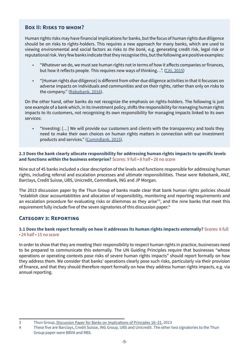#### <span id="page-8-0"></span>**Box II: Risks to whom?**

Human rights risks may have financial implications for banks, but the focus of human rights due diligence should be on risks to rights-holders. This requires a new approach for many banks, which are used to viewing environmental and social factors as risks *to the bank,* e.g. generating credit risk, legal risk or reputational risk. Very few banks indicate that they recognise this, but the following are positive examples:

- "Whatever we do, we must see human rights not in terms of how it affects companies or finances, but how it reflects people. This requires new ways of thinking…". ([Citi, 2015](http://citi.com/citi/about/citizenship/download/2015/global/2015-citi-global-citizenship-factsheet-human-rights-en.pdf))
- "[Human rights due diligence] is different from other due diligence activities in that it focusses on adverse impacts on individuals and communities and on their rights, rather than only on risks to the company." ([Rabobank, 2016](www.banktrack.org/manage/ems_files/download/20160425_letter_to_banktrack_banking_with_principles_ii_pdf/20160425_letter_to_banktrack_banking_with_principles_ii.pdf)).

On the other hand, other banks do not recognize the emphasis on rights-holders. The following is just one example of a bank which, in its investment policy, shifts the responsibility for managing human rights impacts to its customers, not recognising its own responsibility for managing impacts linked to its own services:

• "Investing: […] We will provide our customers and clients with the transparency and tools they need to make their own choices on human rights matters in connection with our investment products and services." ([CommBank, 2015\)](https://www.commbank.com.au/content/dam/commbank/about-us/docs/sustainability-20151103-human-rights-position-statement.pdf).

#### **2.3 Does the bank clearly allocate responsibility for addressing human rights impacts to specific levels and functions within the business enterprise?** Scores: 9 full • 8 half • 28 no score

Nine out of 45 banks included a clear description of the levels and functions responsible for addressing human rights, including referral and escalation processes and ultimate responsibilities. These were Rabobank, ANZ, Barclays, Credit Suisse, UBS, Unicredit, CommBank, ING and JP Morgan.

The 2013 discussion paper by the Thun Group of banks made clear that bank human rights policies should "establish clear accountabilities and allocation of responsibility, monitoring and reporting requirements and an escalation procedure for evaluating risks or dilemmas as they arise"<sup>3</sup>, and the nine banks that meet this requirement fully include five of the seven signatories of this discussion paper.<sup>4</sup>

#### **Category 3: Reporting**

#### **3.1 Does the bank report formally on how it addresses its human rights impacts externally?** Scores: 6 full • 24 half • 15 no score

In order to show that they are meeting their responsibility to respect human rights in practice, businesses need to be prepared to communicate this externally. The UN Guiding Principles require that businesses "whose operations or operating contexts pose risks of severe human rights impacts" should report formally on how they address them. We consider that banks' operations clearly pose such risks, particularly via their provision of finance, and that they should therefore report formally on how they address human rights impacts, e.g. via annual reporting.

<sup>3</sup> Thun Group, [Discussion Paper for Banks on Implications of Principles 16–21](http://business-humanrights.org/sites/default/files/media/documents/thun-group-discussion-paper-final-2-oct-2013.pdf), 2013

<sup>4</sup> These five are Barclays, Credit Suisse, ING Group, UBS and Unicredit. The other two signatories to the Thun Group paper were BBVA and RBS.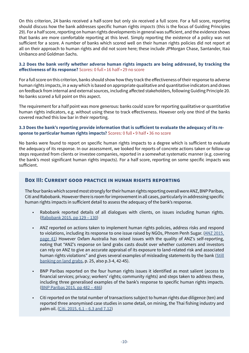<span id="page-9-0"></span>On this criterion, 24 banks received a half-score but only six received a full score. For a full score, reporting should discuss how the bank addresses specific human rights *impacts* (this is the focus of Guiding Principles 29). For a half score, reporting on human rights developments in general was sufficient, and the evidence shows that banks are more comfortable reporting at this level. Simply reporting the existence of a policy was not sufficient for a score. A number of banks which scored well on their human rights policies did not report at all on their approach to human rights and did not score here; these include JPMorgan Chase, Santander, Itaú Unibanco and Goldman Sachs.

#### **3.2 Does the bank verify whether adverse human rights impacts are being addressed, by tracking the effectiveness of its response?** Scores: 0 full • 16 half • 29 no score

For a full score on this criterion, banks should show how they track the effectiveness of their response to adverse human rights impacts, in a way which is based on appropriate qualitative and quantitative indicators and draws on feedback from internal and external sources, including affected stakeholders, following Guiding Principle 20. No banks scored a full point on this aspect.

The requirement for a half point was more generous: banks could score for reporting qualitative or quantitative human rights indicators, e.g. without using these to track effectiveness. However only one third of the banks covered reached this low bar in their reporting.

#### **3.3 Does the bank's reporting provide information that is sufficient to evaluate the adequacy of its response to particular human rights impacts?** Scores: 0 full • 9 half • 36 no score

No banks were found to report on specific human rights impacts to a degree which is sufficient to evaluate the adequacy of its response. In our assessment, we looked for reports of concrete actions taken or follow-up steps requested from clients or investee companies, reported in a somewhat systematic manner (e.g. covering the bank's most significant human rights impacts). For a half score, reporting on some specific impacts was sufficient.

#### **Box III: Current good practice in human rights reporting**

The four banks which scored most strongly for their human rights reporting overall were ANZ, BNP Paribas, Citi and Rabobank. However there is room for improvement in all cases, particularly in addressing specific human rights impacts in sufficient detail to assess the adequacy of the bank's response.

- Rabobank reported details of all dialogues with clients, on issues including human rights. ([Rabobank 2015, pp 129 – 130\)](https://www.rabobank.com/en/images/rabobank-annual-report-2015.pdf)
- ANZ reported on actions taken to implement human rights policies, address risks and respond to violations, including its response to one issue raised by NGOs, Phnom Penh Sugar. (ANZ 2015, [page 41\)](http://www.anz.com/resources/d/2/d260eabb-50e7-47c1-b0b2-34bb9c65f110/corporate-sus-review-2015.pdf?MOD=AJPERES) However Oxfam Australia has raised issues with the quality of ANZ's self-reporting, noting that "ANZ's response on land grabs casts doubt over whether customers and investors can rely on ANZ to give an accurate appraisal of its exposure to land-related risk and associated human rights violations" and gives several examples of misleading statements by the bank ([Still](http://resources.oxfam.org.au/pages/terms.php?ref=1734&search=&k=c456e625dc&url=pages%2Fdownload_progress.php%3Fref%3D1734%26size%3D%26ext%3Dpdf%26k%3Dc456e625dc%26search%3D%26offset%3D0%26archive%3D0%26sort%3DDESC%26order_by%3Drelevance)  [banking on land grabs](http://resources.oxfam.org.au/pages/terms.php?ref=1734&search=&k=c456e625dc&url=pages%2Fdownload_progress.php%3Fref%3D1734%26size%3D%26ext%3Dpdf%26k%3Dc456e625dc%26search%3D%26offset%3D0%26archive%3D0%26sort%3DDESC%26order_by%3Drelevance), p. 25, also p.3-4, 42-45).
- BNP Paribas reported on the four human rights issues it identified as most salient (access to financial services; privacy; workers' rights; community rights) and steps taken to address these, including three generalised examples of the bank's response to specific human rights impacts. ([BNP Paribas 2015, pp 482 – 486](https://invest.bnpparibas.com/sites/default/files/documents/ddr2015eng.pdf))
- Citi reported on the total number of transactions subject to human rights due diligence (ten) and reported three anonymised case studies in some detail, on mining, the Thai fishing industry and palm oil. [\(Citi, 2015, 6.1 – 6.3 and 7.12\)](http://www.citigroup.com/citi/about/citizenship/download/2015/global/2015-citi-global-citizenship-report-en.pdf)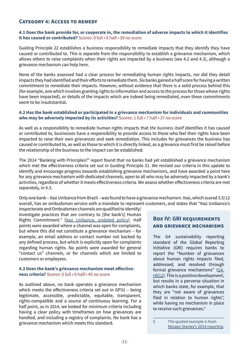#### <span id="page-10-0"></span>**Category 4: Access to remedy**

#### **4.1 Does the bank provide for, or cooperate in, the remediation of adverse impacts to which it identifies it has caused or contributed?** Scores: 0 full • 6 half • 39 no score

Guiding Principle 22 establishes a business responsibility to remediate impacts that they identify they have caused or contributed to. This is separate from the responsibility to establish a grievance mechanism, which allows others to raise complaints when their rights are impacted by a business (see 4.2 and 4.3), although a grievance mechanism can help here.

None of the banks assessed had a clear process for remediating human rights impacts, nor did they detail impacts they had identified and their efforts to remediate them. Six banks gained a half score for having a written commitment to remediate their impacts. However, without evidence that there is a solid process behind this (for example, one which involves granting rights to information and access to the process for those whose rights have been impacted), or details of the impacts which are indeed being remediated, even these commitments seem to be insubstantial.

#### **4.2 Has the bank established or participated in a grievance mechanism for individuals and communities who may be adversely impacted by its activities?** Scores: 1 full • 7 half • 37 no score

As well as a responsibility to remediate human rights impacts that *the business itself* identifies it has caused or contributed to, businesses have a responsibility to provide access to those who feel their rights have been impacted to raise their own grievances and seek remediation. This includes for grievances the business has caused or contributed to, as well as those to which it is directly linked, as a grievance must first be raised before the relationship of the business to the impact can be established.

The 2014 "Banking with Principles?" report found that no banks had yet established a grievance mechanism which met the effectiveness criteria set out in Guiding Principle 31. We revised our criteria in this update to identify and encourage progress towards establishing grievance mechanisms, and have awarded a point here for any grievance mechanism with dedicated channels, open to all who may be adversely impacted by a bank's activities, regardless of whether it meets effectiveness criteria. We assess whether effectiveness criteria are met separately, in 4.3.

Only one bank – Itaú Unibanco from Brazil – was found to have a grievance mechanism. Itaú, which scored 3.5/12 overall, has an ombudsman service with a mandate to represent customers, and states that "Itaú Unibanco's

Inspectorate and Ombudsman channels are qualified to identify/ investigate practices that are contrary to [the bank's] Human Rights Commitment." [\(Itaú Unibanco, undated policy\)](http://www.banktrack.org/manage/ems_files/download/human_rights_commitment_eng_pdf/human_rights_commitment_eng.pdf). Half points were awarded where a channel was open for complaints, but where this did not constitute a grievance mechanism – for example, an email address or contact number not backed by any defined process, but which is explicitly open for complaints regarding human rights. No points were awarded for general "contact us" channels, or for channels which are limited to customers or employees.

#### **4.3 Does the bank's grievance mechanism meet effectiveness criteria?** Scores: 0 full • 0 half • 45 no score

As outlined above, no bank operates a grievance mechanism which meets the effectiveness criteria set out in GP31 – being legitimate, accessible, predictable, equitable, transparent, rights-compatible and a source of continuous learning. For a half point, as in 2014, we looked for minimum criteria including having a clear policy with timeframes on how grievances are handled, and including a registry of complaints. No bank has a grievance mechanism which meets this standard.

#### **BOX IV: GRI REQUIREMENTS and grievance mechanisms**

The G4 sustainability reporting standard of the Global Reporting Initiative (GRI) requires banks to report the "Number of grievances about human rights impacts filed, addressed, and resolved through formal grievance mechanisms" ([G4-](https://g4.globalreporting.org/specific-standard-disclosures/social/human-rights/human-rights-grievance-mechanisms/Pages/G4-HR12.aspx) [HR12](https://g4.globalreporting.org/specific-standard-disclosures/social/human-rights/human-rights-grievance-mechanisms/Pages/G4-HR12.aspx)). This is a positive development, but results in a perverse situation in which banks state, for example, that they are "not aware of grievances filed in relation to human rights", while having no mechanism in place to receive such grievances.<sup>5</sup>

<sup>5</sup> The quoted example is from [Morgan Stanley's 2014 reporting](http://www.morganstanley.com/globalcitizen/pdf/2014_MS_Sustainability_Report.pdf).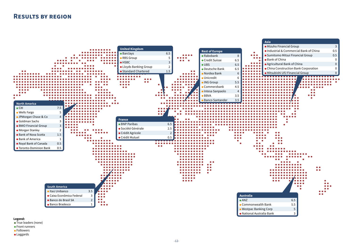- **True leaders (none)**
- **•** Front runners
- **•** Followers
- Laggards



### <span id="page-11-0"></span>**Results by region**

**Legend:**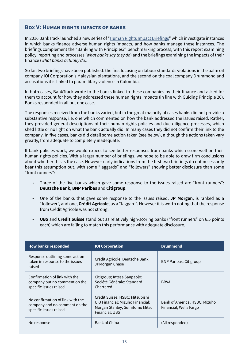#### <span id="page-12-1"></span><span id="page-12-0"></span>**Box V: Human rights impacts of banks**

In 2016 BankTrack launched a new series of "[Human Rights Impact Briefings](mailto:http://www.banktrack.org/show/pages/human_rights_impact_briefings)" which investigate instances in which banks finance adverse human rights impacts, and how banks manage these instances. The briefings complement the "Banking with Principles?" benchmarking process, with this report examining policy, reporting and processes (*what banks say they do*) and the briefings examining the impacts of their finance (*what banks actually do).*

So far, two briefings have been published: the first focusing on labour standards violations in the palm oil company IOI Corporation's Malaysian plantations, and the second on the coal company Drummond and accusations it is linked to paramilitary violence in Colombia.

In both cases, BankTrack wrote to the banks linked to these companies by their finance and asked for them to account for how they addressed these human rights impacts (in line with Guiding Principle 20). Banks responded in all but one case.

The responses received from the banks varied, but in the great majority of cases banks did not provide a substantive response, i.e. one which commented on how the bank addressed the issues raised. Rather, they provided general descriptions of their human rights policies and due diligence processes, which shed little or no light on what the bank actually did. In many cases they did not confirm their link to the company. In five cases, banks did detail some action taken (see below), although the actions taken vary greatly, from adequate to completely inadequate.

If bank policies work, we would expect to see better responses from banks which score well on their human rights policies. With a larger number of briefings, we hope to be able to draw firm conclusions about whether this is the case. However early indications from the first two briefings do not necessarily bear this assumption out, with some "laggards" and "followers" showing better disclosure than some "front runners":

- Three of the five banks which gave some response to the issues raised are "front runners": **Deutsche Bank**, **BNP Paribas** and **Citigroup**.
- One of the banks that gave some response to the issues raised, **JP Morgan**, is ranked as a "follower", and one, **Crédit Agricole**, as a "laggard". However it is worth noting that the response from Crédit Agricole was not strong.
- **UBS** and **Credit Suisse** stand out as relatively high-scoring banks ("front runners" on 6.5 points each) which are failing to match this performance with adequate disclosure.

| <b>How banks responded</b>                                                                  | <b>IOI Corporation</b>                                                                                                   | <b>Drummond</b>                                         |
|---------------------------------------------------------------------------------------------|--------------------------------------------------------------------------------------------------------------------------|---------------------------------------------------------|
| Response outlining some action<br>taken in response to the issues<br>raised                 | Crédit Agricole; Deutsche Bank;<br>JPMorgan Chase                                                                        | <b>BNP Paribas; Citigroup</b>                           |
| Confirmation of link with the<br>company but no comment on the<br>specific issues raised    | Citigroup; Intesa Sanpaolo;<br>Société Générale; Standard<br>Chartered                                                   | <b>BBVA</b>                                             |
| No confirmation of link with the<br>company and no comment on the<br>specific issues raised | Credit Suisse; HSBC; Mitsubishi<br>UFJ Financial; Mizuho Financial;<br>Morgan Stanley; Sumitomo Mitsui<br>Financial; UBS | Bank of America; HSBC; Mizuho<br>Financial; Wells Fargo |
| No response                                                                                 | Bank of China                                                                                                            | (All responded)                                         |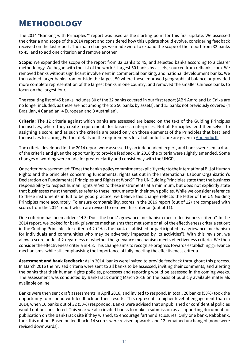## <span id="page-13-1"></span><span id="page-13-0"></span>**Methodology**

The 2014 "Banking with Principles?" report was used as the starting point for this first update. We assessed the criteria and scope of the 2014 report and considered how this update should evolve, considering feedback received on the last report. The main changes we made were to expand the scope of the report from 32 banks to 45, and to add one criterion and remove another.

**Scope:** We expanded the scope of the report from 32 banks to 45, and selected banks according to a clearer methodology. We began with the list of the world's largest 50 banks by assets, sourced from relbanks.com. We removed banks without significant involvement in commercial banking, and national development banks. We then added larger banks from outside the largest 50 where these improved geographical balance or provided more complete representation of the largest banks in one country; and removed the smaller Chinese banks to focus on the largest four.

The resulting list of 45 banks includes 30 of the 32 banks covered in our first report (ABN Amro and La Caixa are no longer included, as these are not among the top 50 banks by assets), and 15 banks not previously covered (4 Brazilian, 4 Canadian, 4 European and 3 Australian).

**Criteria:** The 12 criteria against which banks are assessed are based on the text of the Guiding Principles themselves, where they create requirements for business enterprises. Not all Principles lend themselves to assigning a score, and as such the criteria are based only on those elements of the Principles that best lend themselves to scoring. Further details on the requirements for a half or full score are given in [Appendix III.](#page-18-1)

The criteria developed for the 2014 report were assessed by an independent expert, and banks were sent a draft of the criteria and given the opportunity to provide feedback. In 2016 the criteria were slightly amended. Some changes of wording were made for greater clarity and consistency with the UNGPs.

One criterion was removed: "Does the bank's policy commitment explicitly refer to the International Bill of Human Rights and the principles concerning fundamental rights set out in the International Labour Organization's Declaration on Fundamental Principles and Rights at Work?" The UN Guiding Principles state that the business responsibility to respect human rights *refers to* these instruments at a minimum, but does not explicitly state that businesses must themselves refer to these instruments in their own policies. While we consider reference to these instruments in full to be good practice, we believe this change reflects the letter of the UN Guiding Principles more accurately. To ensure comparability, scores in the 2016 report (out of 12) are compared with scores from the 2014 report which are revised to remove this criterion (out of 11).

One criterion has been added: "4.3: Does the bank's grievance mechanism meet effectiveness criteria". In the 2014 report, we looked for bank grievance mechanisms that met some or all of the effectiveness criteria set out in the Guiding Principles for criteria 4.2 ("Has the bank established or participated in a grievance mechanism for individuals and communities who may be adversely impacted by its activities"). With this revision, we allow a score under 4.2 regardless of whether the grievance mechanism meets effectiveness criteria. We then consider the effectiveness criteria in 4.3. This change aims to recognise progress towards establishing grievance mechanisms, while still emphasising the importance of fully meeting the effectiveness criteria.

**Assessment and bank feedback:** As in 2014, banks were invited to provide feedback throughout this process. In March 2016 the revised criteria were sent to all banks to be assessed, inviting their comments, and alerting the banks that their human rights policies, processes and reporting would be assessed in the coming weeks. The assessment was conducted by BankTrack during March 2016 on the basis of publicly available materials available online.

Banks were then sent draft assessments in April 2016, and invited to respond. In total, 26 banks (58%) took the opportunity to respond with feedback on their results. This represents a higher level of engagement than in 2014, when 16 banks out of 32 (50%) responded. Banks were advised that unpublished or confidential policies would not be considered. This year we also invited banks to make a submission as a supporting document for publication on the BankTrack site if they wished, to encourage further disclosures. Only one bank, Rabobank, took this option. Based on feedback, 14 scores were revised upwards and 12 remained unchanged (none were revised downwards).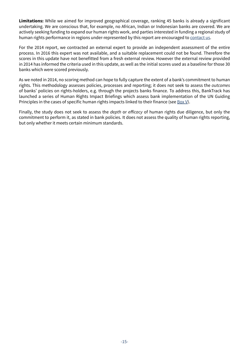**Limitations:** While we aimed for improved geographical coverage, ranking 45 banks is already a significant undertaking. We are conscious that, for example, no African, Indian or Indonesian banks are covered. We are actively seeking funding to expand our human rights work, and parties interested in funding a regional study of human rights performance in regions under-represented by this report are encouraged to [contact us](mailto:contact@banktrack.org).

For the 2014 report, we contracted an external expert to provide an independent assessment of the entire process. In 2016 this expert was not available, and a suitable replacement could not be found. Therefore the scores in this update have not benefitted from a fresh external review. However the external review provided in 2014 has informed the criteria used in this update, as well as the initial scores used as a baseline for those 30 banks which were scored previously.

As we noted in 2014, no scoring method can hope to fully capture the extent of a bank's commitment to human rights. This methodology assesses policies, processes and reporting; it does not seek to assess the *outcomes* of banks' policies on rights-holders, e.g. through the projects banks finance. To address this, BankTrack has launched a series of Human Rights Impact Briefings which assess bank implementation of the UN Guiding Principles in the cases of specific human rights impacts linked to their finance (see  $\frac{Box V}{v}$  $\frac{Box V}{v}$  $\frac{Box V}{v}$ ).

Finally, the study does not seek to assess the *depth* or efficacy of human rights due diligence, but only the commitment to perform it, as stated in bank policies. It does not assess the quality of human rights reporting, but only whether it meets certain minimum standards.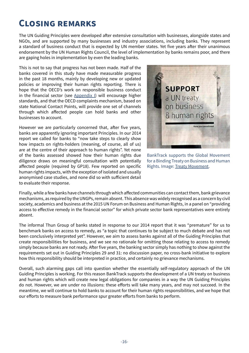## <span id="page-15-0"></span>**Closing remarks**

The UN Guiding Principles were developed after extensive consultation with businesses, alongside states and NGOs, and are supported by many businesses and industry associations, including banks. They represent a standard of business conduct that is expected by UN member states. Yet five years after their unanimous endorsement by the UN Human Rights Council, the level of implementation by banks remains poor, and there are gaping holes in implementation by even the leading banks.

This is not to say that progress has not been made. Half of the banks covered in this study have made measurable progress in the past 18 months, mainly by developing new or updated policies or improving their human rights reporting. There is hope that the OECD's work on responsible business conduct in the financial sector (see  $\Delta$ ppendix I) will encourage higher standards, and that the OECD complaints mechanism, based on state National Contact Points, will provide one set of channels through which affected people can hold banks and other businesses to account.

However we are particularly concerned that, after five years, banks are apparently ignoring important Principles. In our 2014 report we called for banks to "now take steps to clearly show how impacts on rights-holders (meaning, of course, all of us) are at the centre of their approach to human rights". Yet none of the banks assessed showed how their human rights due diligence draws on meaningful consultation with potentially affected people (required by GP18). Few reported on specific human rights impacts, with the exception of isolated and usually anonymised case studies, and none did so with sufficient detail to evaluate their response.



BankTrack supports the Global Movement for a Binding Treaty on Business and Human Rights. Image: [Treaty Movement.](http://www.treatymovement.com/)

Finally, while a few banks have channels through which affected communities can contact them, bank grievance mechanisms, as required by the UNGPs, remain absent. This absence was widely recognised as a concern by civil society, academics and business at the 2015 UN Forum on Business and Human Rights, in a panel on "providing access to effective remedy in the financial sector" for which private sector bank representatives were entirely absent.

The informal Thun Group of banks stated in response to our 2014 report that it was "premature" for us to benchmark banks on access to remedy, as "a topic that continues to be subject to much debate and has not been conclusively interpreted yet". However, we aim to assess banks against all of the Guiding Principles that create responsibilities for business, and we see no rationale for omitting those relating to access to remedy simply because banks are not ready. After five years, the banking sector simply has nothing to show against the requirements set out in Guiding Principles 29 and 31: no discussion paper, no cross-bank initiative to explore how this responsibility should be interpreted in practice, and certainly no grievance mechanisms.

Overall, such alarming gaps call into question whether the essentially self-regulatory approach of the UN Guiding Principles is working. For this reason BankTrack supports the development of a UN treaty on business and human rights which will create new legal obligations for companies in a way the UN Guiding Principles do not. However, we are under no illusions: these efforts will take many years, and may not succeed. In the meantime, we will continue to hold banks to account for their human rights responsibilities, and we hope that our efforts to measure bank performance spur greater efforts from banks to perform.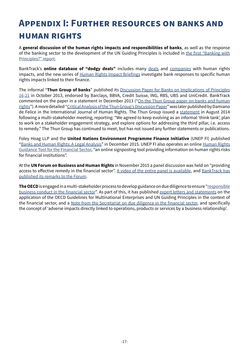## <span id="page-16-1"></span><span id="page-16-0"></span>**Appendix I: Further resources on banks and human rights**

A **general discussion of the human rights impacts and responsibilities of banks**, as well as the response of the banking sector to the development of the UN Guiding Principles is included in [the first "Banking with](http://www.banktrack.org/download/bankingwithprinciples_humanrights_dec2014_pdf/hr_banking_with_principles_digital.pdf)  [Principles?" report](http://www.banktrack.org/download/bankingwithprinciples_humanrights_dec2014_pdf/hr_banking_with_principles_digital.pdf).

BankTrack's **online database of "dodgy deals"** includes many [deals](http://www.banktrack.org/show/pages/banks_and_human_rights#tab_pages_dodgy_deals) and [companies](http://www.banktrack.org/show/pages/banks_and_human_rights#tab_pages_companies) with human rights impacts, and the new series of [Human Rights Impact Briefings](http://www.banktrack.org/show/pages/human_rights_impact_briefings) investigate bank responses to specific human rights impacts linked to their finance.

The informal "**Thun Group of banks**" published its [Discussion Paper for Banks on Implications of Principles](http://business-humanrights.org/sites/default/files/media/documents/thun-group-discussion-paper-final-2-oct-2013.pdf)  [16-21](http://business-humanrights.org/sites/default/files/media/documents/thun-group-discussion-paper-final-2-oct-2013.pdf) in October 2013, endorsed by Barclays, BBVA, Credit Suisse, ING, RBS, UBS and UniCredit. BankTrack commented on the paper in a statement in December 2013 ("On the Thun Group paper on banks and human [rights](http://www.banktrack.org/manage/ems_files/download/banktrack_on_the_thun_group_paper_on_banks_and_human_rights/131129_thun_group_paper_final.pdf)"). A more detailed "[Critical Analysis of the Thun Group's Discussion Paper](http://papers.ssrn.com/sol3/papers.cfm?abstract_id=2477126)" was later published by Damiano de Felice in the International Journal of Human Rights. The Thun Group issued a [statement](http://business-humanrights.org/sites/default/files/documents/Thun Group re analysis of discussion paper - Aug 2014.docx) in August 2014 following a multi-stakeholder meeting, reporting: "We agreed to keep evolving as an informal 'think tank', plan to work on a stakeholder engagement strategy, and explore options for addressing the third pillar, i.e. access to remedy." The Thun Group has continued to meet, but has not issued any further statements or publications.

Foley Hoag LLP and the **United Nations Environment Programme Finance Initiative** (UNEP FI) published "[Banks and Human Rights: A Legal Analysis"](http://www.unepfi.org/fileadmin/documents/BanksandHumanRights.pdf) in December 2015. UNEP FI also operates an online Human Rights [Guidance Tool for the Financial Sector](http://www.unepfi.org/humanrightstoolkit/), "an online signposting tool providing information on human rights risks for financial institutions".

At the **UN Forum on Business and Human Rights** in November 2015 a panel discussion was held on "providing access to effective remedy in the financial sector". [A video of the entire panel is available](http://webtv.un.org/search/sector-specific-challenges-forum-on-business-and-human-rights-2015/4638490502001?term=forum on business and human rights&languages=&sort=date), and BankTrack has [published its remarks to the Forum](http://www.banktrack.org/manage/ems_files/download/151116_forum_bhr_2015_bt_remarks_pdf/151116_forum_bhr_2015_bt_remarks.pdf).

**The OECD** is engaged in a multi-stakeholder process to develop guidance on due diligence to ensure ["responsible](https://mneguidelines.oecd.org/rbc-financial-sector.htm)  [business conduct in the financial sector](https://mneguidelines.oecd.org/rbc-financial-sector.htm)". As part of this, it has published [expert letters and statements](https://mneguidelines.oecd.org/globalforumonresponsiblebusinessconduct/GFRBC-2014-financial-sector-document-3.pdf) on the application of the OECD Guidelines for Multinational Enterprises and UN Guiding Principles in the context of the financial sector, and a [Note from the Secretariat on due diligence in the financial sector](https://mneguidelines.oecd.org/globalforumonresponsiblebusinessconduct/GFRBC-2014-financial-sector-document-1.pdf), and specifically the concept of 'adverse impacts directly linked to operations, products or services by a business relationship'.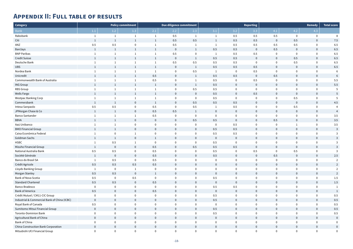|                            |                            | <b>Remedy</b>              | <b>Total score</b>       |
|----------------------------|----------------------------|----------------------------|--------------------------|
| 4.1                        | 4.2                        | 4.3                        |                          |
| 0.5                        | $\pmb{0}$                  | 0                          | 8                        |
| $\pmb{0}$                  | 0.5                        | $\mathbf 0$                | 7.5                      |
| 0.5                        | 0.5                        | $\mathbf 0$                | 6.5                      |
| 0.5                        | $\pmb{0}$                  | $\mathbf 0$                | 6.5                      |
| $\pmb{0}$                  | $\mathbf 0$                | $\mathbf 0$                | 6.5                      |
| $\pmb{0}$                  | 0.5                        | $\mathbf 0$                | 6.5                      |
| $\mathbf 0$                | 0.5                        | $\mathbf 0$                | 6.5                      |
| $\mathbf 0$                | $\pmb{0}$                  | $\mathbf 0$                | 6.5                      |
| $\mathbf 0$                | $\pmb{0}$                  | $\mathbf 0$                | 6                        |
| 0.5<br>$\pmb{0}$           | $\mathbf 0$<br>$\mathbf 0$ | $\mathbf 0$<br>$\mathbf 0$ | 6<br>5.5                 |
| $\mathbf 0$                | $\mathbf 0$                | $\mathbf 0$                | 5.5                      |
| $\mathbf 0$                | $\pmb{0}$                  | $\mathbf 0$                | 5                        |
| $\pmb{0}$                  | $\mathbf 0$                | $\pmb{0}$                  | 5                        |
| $\mathbf 0$                | 0.5                        | $\mathbf 0$                | 5                        |
| $\mathbf 0$                | $\pmb{0}$                  | $\mathbf 0$                | 4.5                      |
| $\mathbf 0$                | 0.5                        | $\mathbf 0$                | 4                        |
| $\mathbf 0$                | $\pmb{0}$                  | $\pmb{0}$                  | $\overline{\mathcal{L}}$ |
| $\mathbf 0$                | $\mathbf 0$                | $\mathbf 0$                | 3.5                      |
| 0.5                        | $\mathbf 0$                | $\mathbf 0$                | 3.5                      |
| $\mathbf 0$                | $\mathbf{1}$               | $\mathbf 0$                | 3.5                      |
| $\mathbf 0$                | $\mathbf 0$                | $\pmb{0}$                  | 3                        |
| $\mathbf 0$                | $\mathbf 0$                | $\mathbf 0$                | 3                        |
| $\mathbf 0$                | $\mathbf 0$                | $\mathbf 0$                | 3                        |
| $\mathbf 0$                | $\mathbf 0$                | $\mathbf 0$                | 3                        |
| $\mathbf 0$<br>$\mathbf 0$ | $\mathbf 0$<br>0.5         | $\bf{0}$<br>$\mathbf 0$    | 3<br>3                   |
|                            | $\mathbf 0$                | $\bf{0}$                   |                          |
| 0.5<br>$\pmb{0}$           | 0                          | $\mathbf 0$                | 2.5<br>$\overline{2}$    |
| $\mathbf 0$                | $\bf{0}$                   | $\mathbf 0$                | $\overline{c}$           |
| $\mathbf 0$                | $\mathbf 0$                | $\mathbf 0$                | $\overline{2}$           |
| $\mathbf 0$                | $\mathbf 0$                | $\mathbf 0$                | $\overline{\mathbf{c}}$  |
| $\mathbf 0$                | $\mathbf 0$                | $\mathbf 0$                | 1.5                      |
| $\mathbf 0$                | $\pmb{0}$                  | $\mathbf 0$                | 1.5                      |
| $\mathbf 0$                | $\mathbf 0$                | $\mathbf 0$                | $\mathbf{1}$             |
| $\mathbf 0$                | $\pmb{0}$                  | $\mathbf 0$                | $\mathbf{1}$             |
| $\mathbf 0$                | $\mathbf 0$                | $\mathbf 0$                | 0.5                      |
| $\mathbf 0$                | $\pmb{0}$                  | $\mathbf 0$                | 0.5                      |
| $\mathbf 0$                | $\mathbf 0$                | $\mathbf 0$                | 0.5                      |
| $\mathbf 0$                | $\pmb{0}$                  | $\mathbf 0$                | 0.5                      |
| $\mathbf 0$<br>$\mathbf 0$ | $\mathbf 0$<br>$\pmb{0}$   | $\mathbf 0$<br>$\mathbf 0$ | 0.5                      |
| $\mathbf 0$                | $\mathbf 0$                | $\mathbf 0$                | $\mathbf 0$<br>$\bf{0}$  |
| $\mathbf 0$                | $\mathbf 0$                | $\mathbf 0$                | $\mathbf 0$              |
| 0                          | $\mathbf 0$                | 0                          | $\mathbf 0$              |

## <span id="page-17-0"></span>**Appendix II: Full table of results**

| <b>Category</b>                              |                |                | Policy commitment |                | Due diligence commitment |                  |                |                  | <b>Reporting</b> |                |                  | Remedy         | <b>Total score</b>       |
|----------------------------------------------|----------------|----------------|-------------------|----------------|--------------------------|------------------|----------------|------------------|------------------|----------------|------------------|----------------|--------------------------|
| <b>Bank</b>                                  | $1.1\,$        | 1.2            | $1.3$             | 2.1            | 2.2                      | 2.3              | 3.1            | 3.2              | 3.3              | 4.1            | 4.2              | 4.3            |                          |
| Rabobank                                     |                |                |                   |                | 0.5                      |                  | -1             | 0.5              | 0.5              | 0.5            | $\mathbf 0$      | 0              | 8                        |
| Citi                                         | 1              | 1              | 1                 | $\mathbf{1}$   | 0.5                      | 0.5              | $\mathbf{1}$   | 0.5              | 0.5              | $\overline{0}$ | 0.5              | $\overline{0}$ | 7.5                      |
| ANZ                                          | $0.5\,$        | 0.5            | $\boldsymbol{0}$  |                | 0.5                      |                  | - 1            | 0.5              | $0.5\,$          | 0.5            | 0.5              | $\mathbf 0$    | 6.5                      |
| <b>Barclays</b>                              | 1              | $\mathbf{1}$   | $\mathbf{1}$      | $\mathbf{1}$   | $\overline{0}$           | $\mathbf{1}$     | 0.5            | 0.5              | $\overline{0}$   | 0.5            | $\overline{0}$   | $\overline{0}$ | 6.5                      |
| <b>BNP Paribas</b>                           |                | -1             |                   | 1              | 0.5                      | $\boldsymbol{0}$ | $\mathbf{1}$   | 0.5              | $0.5\,$          | $\overline{0}$ | $\mathbf 0$      | $\mathbf 0$    | 6.5                      |
| Credit Suisse                                | $\mathbf{1}$   | $\mathbf{1}$   | $\mathbf{1}$      | $\mathbf{1}$   | $\overline{0}$           | $\mathbf{1}$     | 0.5            | 0.5              | $\overline{0}$   | $\overline{0}$ | $0.5\,$          | $\overline{0}$ | 6.5                      |
| Deutsche Bank                                | -1             | $\mathbf{1}$   |                   | -1             | 0.5                      | 0.5              | 0.5            | 0.5              | $\mathbf 0$      | $\overline{0}$ | 0.5              | $\mathbf 0$    | 6.5                      |
| <b>UBS</b>                                   | 1              | $\mathbf{1}$   | $\mathbf{1}$      | $\mathbf{1}$   | $\overline{0}$           | $\mathbf{1}$     | 0.5            | 0.5              | 0.5              | $\overline{0}$ | $\overline{0}$   | $\overline{0}$ | 6.5                      |
| Nordea Bank                                  |                | -1             |                   | - 1            | $\overline{0}$           | 0.5              | $\mathbf{1}$   | $\mathbf 0$      | 0.5              | $\overline{0}$ | $\mathbf 0$      | $\mathbf 0$    | $\epsilon$               |
| Unicredit                                    | 1              | $\mathbf{1}$   | $\mathbf{1}$      | $0.5\,$        | $\overline{0}$           | $\mathbf{1}$     | 0.5            | 0.5              | $\overline{0}$   | 0.5            | $\overline{0}$   | $\mathbf{0}$   | $\epsilon$               |
| Commonwealth Bank of Australia               |                | -1             | 1                 | 0.5            | $\overline{0}$           | $\mathbf{1}$     | 0.5            | $\mathbf 0$      | $0.5\,$          | $\mathbf 0$    | $\mathbf 0$      | $\mathbf 0$    | 5.5                      |
| <b>ING Group</b>                             | 1              | $\mathbf{1}$   | $\mathbf{1}$      | $\mathbf{1}$   | $\overline{0}$           | $\mathbf{1}$     | 0.5            | $\overline{0}$   | $\overline{0}$   | $\overline{0}$ | $\overline{0}$   | $\mathbf{0}$   | 5.5                      |
| <b>RBS Group</b>                             |                | -1             |                   |                | $\overline{0}$           | 0.5              | 0.5            | $\mathbf 0$      | $\mathbf 0$      | $\mathbf 0$    | $\mathbf 0$      | $\mathbf 0$    |                          |
| Wells Fargo                                  | 1              | $\mathbf{1}$   | $\mathbf{1}$      | $\mathbf{1}$   | $\overline{0}$           | $\overline{0}$   | 0.5            | $\boldsymbol{0}$ | 0.5              | $\overline{0}$ | $\overline{0}$   | $\overline{0}$ |                          |
| <b>Westpac Banking Corp</b>                  |                | -1             |                   |                | $\overline{0}$           | $\overline{0}$   | 0.5            | $\mathbf 0$      | $\mathbf 0$      | $\overline{0}$ | $0.5\,$          | $\mathbf 0$    |                          |
| Commerzbank                                  | 1              | $\mathbf{1}$   | $\overline{0}$    | <sup>1</sup>   | $\overline{0}$           | 0.5              | 0.5            | 0.5              | $\overline{0}$   | $\overline{0}$ | $\overline{0}$   | $\overline{0}$ | 4.5                      |
| Intesa Sanpaolo                              | $0.5\,$        | 0.5            | $\mathbf 0$       | 0.5            | $\mathbf 0$              | 0.5              | $\mathbf{1}$   | 0.5              | $\mathbf 0$      | $\overline{0}$ | $0.5\,$          | $\mathbf 0$    |                          |
| JPMorgan Chase & Co                          | $\mathbf{1}$   | $\mathbf{1}$   | $\overline{0}$    | 0.5            | 0.5                      | $\mathbf{1}$     | $\overline{0}$ | $\overline{0}$   | $\overline{0}$   | $\overline{0}$ | $\mathbf 0$      | $\overline{0}$ | $\overline{\mathcal{A}}$ |
| <b>Banco Santander</b>                       |                | -1             | 1                 | $0.5\,$        | $\overline{0}$           | $\overline{0}$   | $\overline{0}$ | $\mathbf 0$      | $\mathbf 0$      | $\mathbf 0$    | $\overline{0}$   | $\mathbf 0$    | 3.5                      |
| <b>BBVA</b>                                  | 1              | $\mathbf{1}$   | $\overline{0}$    | $\overline{0}$ | $\overline{0}$           | 0.5              | 0.5            | $\boldsymbol{0}$ | $\overline{0}$   | 0.5            | $\overline{0}$   | $\overline{0}$ | 3.5                      |
| Itaú Unibanco                                |                | -1             | $\boldsymbol{0}$  | $\overline{0}$ | $\mathbf 0$              | 0                | $\overline{0}$ | 0.5              | $\mathbf 0$      | $\mathbf 0$    | $\mathbf 1$      | $\mathbf 0$    | 3.5                      |
| <b>BMO Financial Group</b>                   | 1              | $\mathbf{1}$   | $\overline{0}$    | $\overline{0}$ | $\overline{0}$           | $\overline{0}$   | 0.5            | 0.5              | $\overline{0}$   | $\overline{0}$ | $\overline{0}$   | $\overline{0}$ |                          |
| Caixa Econômica Federal                      |                | $\bf{0}$       | 1                 | $\mathbf 0$    | $\mathbf 0$              | $\mathbf 0$      | 0.5            | 0.5              | $\mathbf 0$      | $\mathbf 0$    | $\mathbf 0$      | $\mathbf 0$    |                          |
| Goldman Sachs                                | 1              | $\mathbf{1}$   | $\overline{0}$    | 1              | $\overline{0}$           | $\overline{0}$   | $\overline{0}$ | $\mathbf 0$      | $\overline{0}$   | $\overline{0}$ | $\overline{0}$   | $\overline{0}$ |                          |
| <b>HSBC</b>                                  |                | 0.5            | 1                 | $\overline{0}$ | $\bf{0}$                 | $\mathbf 0$      | 0.5            | $\mathbf 0$      | $\mathbf 0$      | $\mathbf 0$    | $\mathbf 0$      | $\mathbf 0$    |                          |
| Mizuho Financial Group                       | 1              | $\overline{0}$ | $\overline{0}$    | 0.5            | $\overline{0}$           | 0.5              | 0.5            | 0.5              | $\overline{0}$   | $\overline{0}$ | $\overline{0}$   | $\mathbf 0$    |                          |
| National Australia Bank                      | 0.5            | 0.5            | $\boldsymbol{0}$  | 0.5            | $\boldsymbol{0}$         | 0                | 0.5            | $\mathbf 0$      | 0.5              | $\overline{0}$ | 0.5              | 0              |                          |
| Société Générale                             | $\overline{1}$ | $\overline{0}$ | $\overline{0}$    | 0.5            | $\overline{0}$           | $\overline{0}$   | 0.5            | $\overline{0}$   | $\overline{0}$   | 0.5            | $\overline{0}$   | $\overline{0}$ | 2.5                      |
| Banco do Brasil SA                           |                | $0.5\,$        | $\mathbf 0$       | 0.5            | $\overline{0}$           | $\boldsymbol{0}$ | $\bf{0}$       | $\mathbf 0$      | $\mathbf 0$      | $\mathbf 0$    | $\mathbf 0$      | 0              |                          |
| Crédit Agricole                              | $0.5\,$        | 0.5            | 0.5               | 0.5            | $\overline{0}$           | $\overline{0}$   | $\overline{0}$ | $\mathbf 0$      | $\overline{0}$   | $\overline{0}$ | $\overline{0}$   | $\pmb{0}$      |                          |
| Lloyds Banking Group                         |                | $\mathbf 0$    | $\mathbf{1}$      | $\overline{0}$ | $\overline{0}$           | $\overline{0}$   | $\overline{0}$ | $\bf{0}$         | $\mathbf 0$      | $\mathbf 0$    | $\mathbf 0$      | $\mathbf 0$    |                          |
| Morgan Stanley                               | $0.5\,$        | 0.5            | $\overline{0}$    | $\mathbf{1}$   | $\overline{0}$           | $\overline{0}$   | $\overline{0}$ | $\boldsymbol{0}$ | $\overline{0}$   | $\overline{0}$ | $\mathbf 0$      | $\overline{0}$ |                          |
| Bank of Nova Scotia                          | $0.5\,$        | $\mathbf 0$    | 0.5               | $\overline{0}$ | $\overline{0}$           | $\overline{0}$   | 0.5            | $\bf{0}$         | $\overline{0}$   | $\mathbf 0$    | $\mathbf 0$      | $\mathbf 0$    | 1.5                      |
| <b>Standard Chartered</b>                    | 0.5            | 0.5            | $\overline{0}$    | 0.5            | $\overline{0}$           | $\overline{0}$   | $\overline{0}$ | $\mathbf 0$      | $\overline{0}$   | $\overline{0}$ | $\overline{0}$   | $\overline{0}$ | 1.5                      |
| <b>Banco Bradesco</b>                        | $\overline{0}$ | $\mathbf 0$    | $\overline{0}$    | $\overline{0}$ | $\overline{0}$           | $\overline{0}$   | 0.5            | 0.5              | $\mathbf 0$      | $\overline{0}$ | $\mathbf 0$      | $\mathbf 0$    |                          |
| <b>Bank of America</b>                       | $0.5\,$        | $\overline{0}$ | $\overline{0}$    | 0.5            | $\overline{0}$           | $\overline{0}$   | $\overline{0}$ | $\overline{0}$   | $\overline{0}$   | $\overline{0}$ | $\overline{0}$   | $\overline{0}$ |                          |
| Crédit Mutuel / CM11-CIC Group               | $\mathbf 0$    | $\overline{0}$ | $\overline{0}$    | $\bf{0}$       | $\overline{0}$           | $\mathbf 0$      | 0.5            | $\mathbf 0$      | $\overline{0}$   | $\mathbf 0$    | $\mathbf 0$      | $\overline{0}$ | 0.5                      |
| Industrial & Commercial Bank of China (ICBC) | $\overline{0}$ | $\overline{0}$ | $\overline{0}$    | $\overline{0}$ | $\overline{0}$           | $\overline{0}$   | 0.5            | $\overline{0}$   | $\overline{0}$   | $\overline{0}$ | $\overline{0}$   | $\overline{0}$ | 0.5                      |
| Royal Bank of Canada                         | $0.5\,$        | $\mathbf 0$    | $\overline{0}$    | $\overline{0}$ | $\overline{0}$           | $\overline{0}$   | $\overline{0}$ | $\boldsymbol{0}$ | $\mathbf 0$      | $\mathbf 0$    | $\boldsymbol{0}$ | $\overline{0}$ | 0.5                      |
| Sumitomo Mitsui Financial Group              | $\overline{0}$ | $\overline{0}$ | $\overline{0}$    | $\overline{0}$ | $\overline{0}$           | $\overline{0}$   | 0.5            | $\overline{0}$   | $\overline{0}$   | $\overline{0}$ | $\mathbf 0$      | $\overline{0}$ | 0.5                      |
| <b>Toronto-Dominion Bank</b>                 | 0              | $\bf{0}$       | $\mathbf 0$       | $\overline{0}$ | $\overline{0}$           | $\mathbf 0$      | 0.5            | $\boldsymbol{0}$ | $\mathbf 0$      | $\mathbf 0$    | $\mathbf 0$      | $\mathbf 0$    | 0.5                      |
| Agricultural Bank of China                   | $\overline{0}$ | $\overline{0}$ | $\overline{0}$    | $\overline{0}$ | $\overline{0}$           | $\overline{0}$   | $\overline{0}$ | $\overline{0}$   | $\overline{0}$   | $\overline{0}$ | $\overline{0}$   | $\overline{0}$ | $\mathbf 0$              |
| Bank of China                                | 0              | $\bf{0}$       | $\overline{0}$    | $\overline{0}$ | $\overline{0}$           | $\mathbf 0$      | $\overline{0}$ | $\mathbf 0$      | $\mathbf 0$      | $\mathbf 0$    | $\mathbf 0$      | $\mathbf 0$    |                          |
| China Construction Bank Corporation          | $\overline{0}$ | $\overline{0}$ | $\overline{0}$    | $\overline{0}$ | $\overline{0}$           | $\overline{0}$   | $\overline{0}$ | $\overline{0}$   | $\overline{0}$   | $\overline{0}$ | $\mathbf 0$      | $\overline{0}$ |                          |
| Mitsubishi UFJ Financial Group               | $\overline{0}$ | $\overline{0}$ | $\overline{0}$    | $\mathbf{0}$   | $\overline{0}$           | $\overline{0}$   | $\overline{0}$ | $\mathbf 0$      | $\overline{0}$   | $\mathbf 0$    | $\mathbf 0$      | $\overline{0}$ |                          |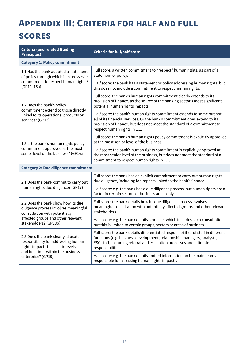## <span id="page-18-1"></span><span id="page-18-0"></span>**Appendix III: Criteria for half and full**

### **scores**

| <b>Criteria (and related Guiding</b><br><b>Principles)</b>                                                                                          | <b>Criteria for full/half score</b>                                                                                                                                                                                                                             |  |  |  |  |
|-----------------------------------------------------------------------------------------------------------------------------------------------------|-----------------------------------------------------------------------------------------------------------------------------------------------------------------------------------------------------------------------------------------------------------------|--|--|--|--|
| <b>Category 1: Policy commitment</b>                                                                                                                |                                                                                                                                                                                                                                                                 |  |  |  |  |
| 1.1 Has the bank adopted a statement<br>of policy through which it expresses its                                                                    | Full score: a written commitment to "respect" human rights, as part of a<br>statement of policy.                                                                                                                                                                |  |  |  |  |
| commitment to respect human rights?<br>(GP11, 15a)                                                                                                  | Half score: the bank has a statement or policy addressing human rights, but<br>this does not include a commitment to respect human rights.                                                                                                                      |  |  |  |  |
| 1.2 Does the bank's policy<br>commitment extend to those directly                                                                                   | Full score: the bank's human rights commitment clearly extends to its<br>provision of finance, as the source of the banking sector's most significant<br>potential human rights impacts.                                                                        |  |  |  |  |
| linked to its operations, products or<br>services? (GP13)                                                                                           | Half score: the bank's human rights commitment extends to some but not<br>all of its financial services. Or the bank's commitment does extend to its<br>provision of finance, but does not meet the standard of a commitment to<br>respect human rights in 1.1. |  |  |  |  |
| 1.3 Is the bank's human rights policy                                                                                                               | Full score: the bank's human rights policy commitment is explicitly approved<br>at the most senior level of the business.                                                                                                                                       |  |  |  |  |
| commitment approved at the most<br>senior level of the business? (GP16a)                                                                            | Half score: the bank's human rights commitment is explicitly approved at<br>the most senior level of the business, but does not meet the standard of a<br>commitment to respect human rights in 1.1.                                                            |  |  |  |  |
| <b>Category 2: Due diligence commitment</b>                                                                                                         |                                                                                                                                                                                                                                                                 |  |  |  |  |
| 2.1 Does the bank commit to carry out                                                                                                               | Full score: the bank has an explicit commitment to carry out human rights<br>due diligence, including for impacts linked to the bank's finance.                                                                                                                 |  |  |  |  |
| human rights due diligence? (GP17)                                                                                                                  | Half score: e.g. the bank has a due diligence process, but human rights are a<br>factor in certain sectors or business areas only.                                                                                                                              |  |  |  |  |
| 2.2 Does the bank show how its due<br>diligence process involves meaningful<br>consultation with potentially                                        | Full score: the bank details how its due diligence process involves<br>meaningful consultation with potentially affected groups and other relevant<br>stakeholders.                                                                                             |  |  |  |  |
| affected groups and other relevant<br>stakeholders? (GP18b)                                                                                         | Half score: e.g. the bank details a process which includes such consultation,<br>but this is limited to certain groups, sectors or areas of business.                                                                                                           |  |  |  |  |
| 2.3 Does the bank clearly allocate<br>responsibility for addressing human<br>rights impacts to specific levels<br>and functions within the business | Full score: the bank details differentiated responsibilities of staff in different<br>functions (e.g. business development, relationship managers, analysts,<br>ESG staff) including referral and escalation processes and ultimate<br>responsibilities.        |  |  |  |  |
| enterprise? (GP19)                                                                                                                                  | Half score: e.g. the bank details limited information on the main teams<br>responsible for assessing human rights impacts.                                                                                                                                      |  |  |  |  |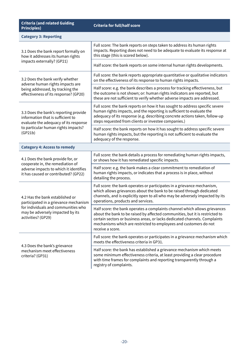| <b>Category 3: Reporting</b>                                                                                        |                                                                                                                                                                                                                                                                                                                                   |  |  |  |  |
|---------------------------------------------------------------------------------------------------------------------|-----------------------------------------------------------------------------------------------------------------------------------------------------------------------------------------------------------------------------------------------------------------------------------------------------------------------------------|--|--|--|--|
| 3.1 Does the bank report formally on<br>how it addresses its human rights                                           | Full score: The bank reports on steps taken to address its human rights<br>impacts. Reporting does not need to be adequate to evaluate its response at<br>this stage (this is scored below).                                                                                                                                      |  |  |  |  |
| impacts externally? (GP21)                                                                                          | Half score: the bank reports on some internal human rights developments.                                                                                                                                                                                                                                                          |  |  |  |  |
| 3.2 Does the bank verify whether                                                                                    | Full score: the bank reports appropriate quantitative or qualitative indicators<br>on the effectiveness of its response to human rights impacts.                                                                                                                                                                                  |  |  |  |  |
| adverse human rights impacts are<br>being addressed, by tracking the<br>effectiveness of its response? (GP20)       | Half score: e.g. the bank describes a process for tracking effectiveness, but<br>the outcome is not shown; or: human rights indicators are reported, but<br>these are not sufficient to verify whether adverse impacts are addressed.                                                                                             |  |  |  |  |
| 3.3 Does the bank's reporting provide<br>information that is sufficient to<br>evaluate the adequacy of its response | Full score: the bank reports on how it has sought to address specific severe<br>human rights impacts, and the reporting is sufficient to evaluate the<br>adequacy of its response (e.g. describing concrete actions taken, follow-up<br>steps requested from clients or investee companies.)                                      |  |  |  |  |
| to particular human rights impacts?<br>(GP21b)                                                                      | Half score: the bank reports on how it has sought to address specific severe<br>human rights impacts, but the reporting is not sufficient to evaluate the<br>adequacy of the response.                                                                                                                                            |  |  |  |  |
| <b>Category 4: Access to remedy</b>                                                                                 |                                                                                                                                                                                                                                                                                                                                   |  |  |  |  |
| 4.1 Does the bank provide for, or<br>cooperate in, the remediation of                                               | Full score: the bank details a process for remediating human rights impacts,<br>or shows how it has remediated specific impacts.                                                                                                                                                                                                  |  |  |  |  |
| adverse impacts to which it identifies<br>it has caused or contributed? (GP22)                                      | Half score: e.g. the bank makes a clear commitment to remediation of<br>human rights impacts, or indicates that a process is in place, without<br>detailing the process.                                                                                                                                                          |  |  |  |  |
| 4.2 Has the bank established or<br>participated in a grievance mechanism                                            | Full score: the bank operates or participates in a grievance mechanism,<br>which allows grievances about the bank to be raised through dedicated<br>channels, and is explicitly open to all who may be adversely impacted by its<br>operations, products and services.                                                            |  |  |  |  |
| for individuals and communities who<br>may be adversely impacted by its<br>activities? (GP29)                       | Half score: the bank operates a complaints channel which allows grievances<br>about the bank to be raised by affected communities, but it is restricted to<br>certain sectors or business areas, or lacks dedicated channels. Complaints<br>mechanisms which are restricted to employees and customers do not<br>receive a score. |  |  |  |  |
|                                                                                                                     | Full score: the bank operates or participates in a grievance mechanism which<br>meets the effectiveness criteria in GP31.                                                                                                                                                                                                         |  |  |  |  |
| 4.3 Does the bank's grievance<br>mechanism meet effectiveness<br>criteria? (GP31)                                   | Half score: the bank has established a grievance mechanism which meets<br>some minimum effectiveness criteria, at least providing a clear procedure<br>with time frames for complaints and reporting transparently through a<br>registry of complaints.                                                                           |  |  |  |  |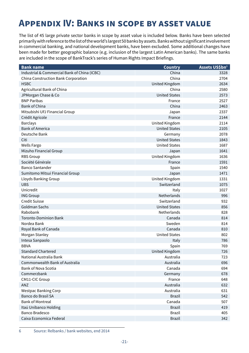## <span id="page-20-0"></span>**Appendix IV: Banks in scope by asset value**

The list of 45 large private sector banks in scope by asset value is included below. Banks have been selected primarily with reference to the list of the world's largest 50 banks by assets. Banks without significant involvement in commercial banking, and national development banks, have been excluded. Some additional changes have been made for better geographic balance (e.g. inclusion of the largest Latin American banks). The same banks are included in the scope of BankTrack's series of Human Rights Impact Briefings.

| <b>Bank name</b>                             | <b>Country</b>       | Assets US\$bn <sup>6</sup> |
|----------------------------------------------|----------------------|----------------------------|
| Industrial & Commercial Bank of China (ICBC) | China                | 3328                       |
| China Construction Bank Corporation          | China                | 2704                       |
| <b>HSBC</b>                                  | United Kingdom       | 2634                       |
| Agricultural Bank of China                   | China                | 2580                       |
| JPMorgan Chase & Co                          | <b>United States</b> | 2573                       |
| <b>BNP Paribas</b>                           | France               | 2527                       |
| <b>Bank of China</b>                         | China                | 2463                       |
| Mitsubishi UFJ Financial Group               | Japan                | 2337                       |
| Crédit Agricole                              | France               | 2144                       |
| <b>Barclays</b>                              | United Kingdom       | 2114                       |
| <b>Bank of America</b>                       | <b>United States</b> | 2105                       |
| Deutsche Bank                                | Germany              | 2078                       |
| Citi                                         | <b>United States</b> | 1843                       |
| Wells Fargo                                  | <b>United States</b> | 1687                       |
| Mizuho Financial Group                       | Japan                | 1641                       |
| <b>RBS Group</b>                             | United Kingdom       | 1636                       |
| Société Générale                             | France               | 1591                       |
| <b>Banco Santander</b>                       | Spain                | 1540                       |
| Sumitomo Mitsui Financial Group              | Japan                | 1471                       |
| Lloyds Banking Group                         | United Kingdom       | 1331                       |
| <b>UBS</b>                                   | Switzerland          | 1075                       |
| Unicredit                                    | Italy                | 1027                       |
| <b>ING Group</b>                             | Netherlands          | 996                        |
| <b>Credit Suisse</b>                         | Switzerland          | 932                        |
| Goldman Sachs                                | <b>United States</b> | 856                        |
| Rabobank                                     | Netherlands          | 828                        |
| <b>Toronto-Dominion Bank</b>                 | Canada               | 814                        |
| Nordea Bank                                  | Sweden               | 814                        |
| Royal Bank of Canada                         | Canada               | 810                        |
| Morgan Stanley                               | <b>United States</b> | 802                        |
| Intesa Sanpaolo                              | Italy                | 786                        |
| <b>BBVA</b>                                  | Spain                | 769                        |
| <b>Standard Chartered</b>                    | United Kingdom       | 726                        |
| National Australia Bank                      | Australia            | 723                        |
| Commonwealth Bank of Australia               | Australia            | 696                        |
| <b>Bank of Nova Scotia</b>                   | Canada               | 694                        |
| Commerzbank                                  | Germany              | 678                        |
| CM11-CIC Group                               | France               | 648                        |
| ANZ                                          | Australia            | 632                        |
| <b>Westpac Banking Corp</b>                  | Australia            | 631                        |
| <b>Banco do Brasil SA</b>                    | <b>Brazil</b>        | 542                        |
| <b>Bank of Montreal</b>                      | Canada               | 507                        |
| Itaú Unibanco Holding                        | <b>Brazil</b>        | 419                        |
| <b>Banco Bradesco</b>                        | <b>Brazil</b>        | 405                        |
| Caixa Economica Federal                      | <b>Brazil</b>        | 342                        |